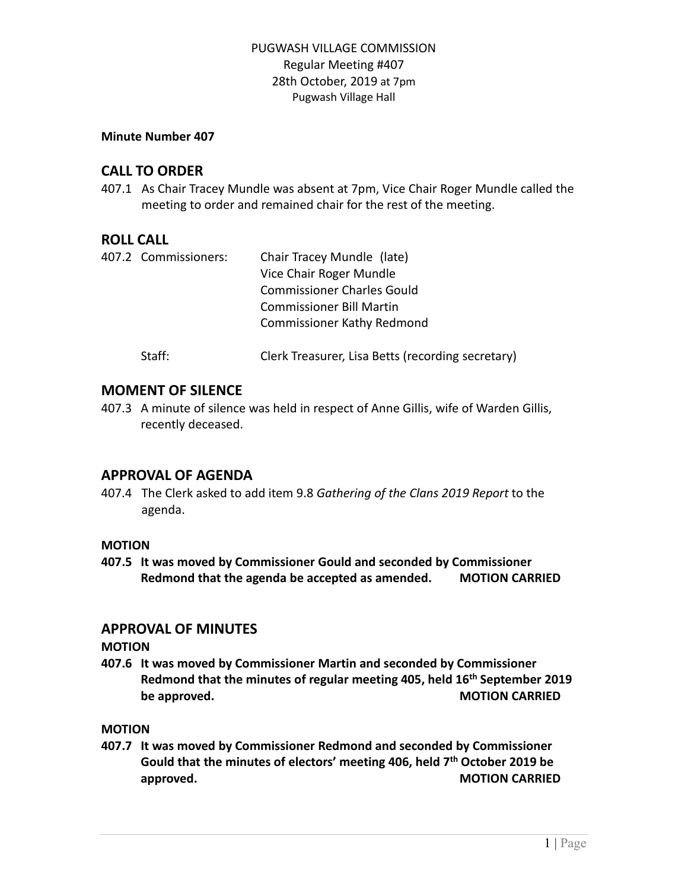#### **Minute Number 407**

## **CALL TO ORDER**

407.1 As Chair Tracey Mundle was absent at 7pm, Vice Chair Roger Mundle called the meeting to order and remained chair for the rest of the meeting.

## **ROLL CALL**

| 407.2 Commissioners: | Chair Tracey Mundle (late)                        |
|----------------------|---------------------------------------------------|
|                      | Vice Chair Roger Mundle                           |
|                      | <b>Commissioner Charles Gould</b>                 |
|                      | <b>Commissioner Bill Martin</b>                   |
|                      | <b>Commissioner Kathy Redmond</b>                 |
| Staff:               | Clerk Treasurer, Lisa Betts (recording secretary) |

## **MOMENT OF SILENCE**

407.3 A minute of silence was held in respect of Anne Gillis, wife of Warden Gillis, recently deceased.

## **APPROVAL OF AGENDA**

407.4 The Clerk asked to add item 9.8 *Gathering of the Clans 2019 Report* to the agenda.

#### **MOTION**

**407.5 It was moved by Commissioner Gould and seconded by Commissioner Redmond that the agenda be accepted as amended. MOTION CARRIED**

## **APPROVAL OF MINUTES**

#### **MOTION**

**407.6 It was moved by Commissioner Martin and seconded by Commissioner Redmond that the minutes of regular meeting 405, held 16th September 2019 be approved. MOTION CARRIED**

#### **MOTION**

**407.7 It was moved by Commissioner Redmond and seconded by Commissioner Gould that the minutes of electors' meeting 406, held 7 th October 2019 be approved. MOTION CARRIED**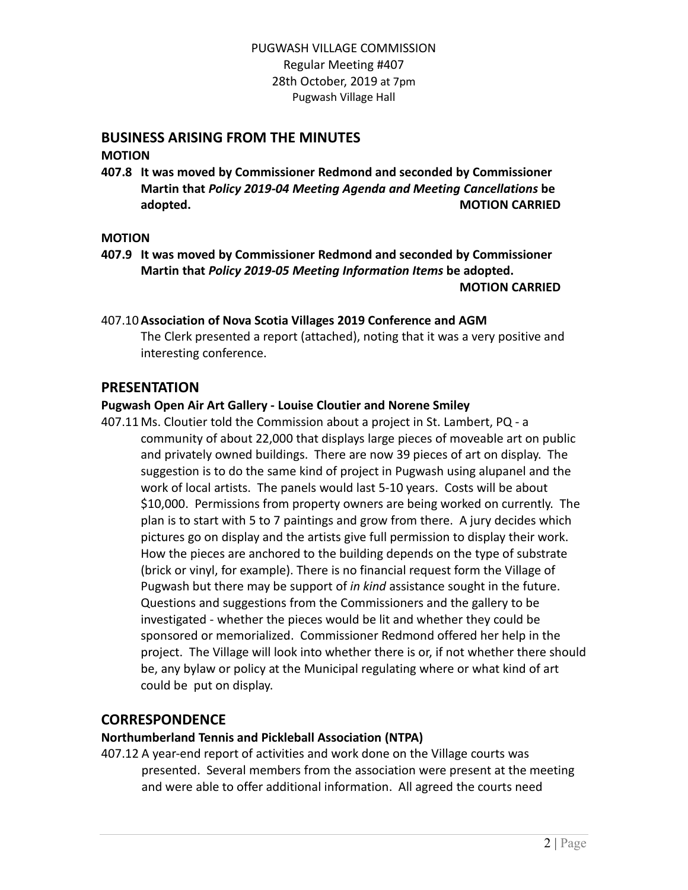# **BUSINESS ARISING FROM THE MINUTES**

**MOTION**

**407.8 It was moved by Commissioner Redmond and seconded by Commissioner Martin that** *Policy 2019-04 Meeting Agenda and Meeting Cancellations* **be adopted. MOTION CARRIED**

#### **MOTION**

**407.9 It was moved by Commissioner Redmond and seconded by Commissioner Martin that** *Policy 2019-05 Meeting Information Items* **be adopted. MOTION CARRIED**

## 407.10**Association of Nova Scotia Villages 2019 Conference and AGM**

The Clerk presented a report (attached), noting that it was a very positive and interesting conference.

## **PRESENTATION**

## **Pugwash Open Air Art Gallery - Louise Cloutier and Norene Smiley**

407.11 Ms. Cloutier told the Commission about a project in St. Lambert, PQ - a community of about 22,000 that displays large pieces of moveable art on public and privately owned buildings. There are now 39 pieces of art on display. The suggestion is to do the same kind of project in Pugwash using alupanel and the work of local artists. The panels would last 5-10 years. Costs will be about \$10,000. Permissions from property owners are being worked on currently. The plan is to start with 5 to 7 paintings and grow from there. A jury decides which pictures go on display and the artists give full permission to display their work. How the pieces are anchored to the building depends on the type of substrate (brick or vinyl, for example). There is no financial request form the Village of Pugwash but there may be support of *in kind* assistance sought in the future. Questions and suggestions from the Commissioners and the gallery to be investigated - whether the pieces would be lit and whether they could be sponsored or memorialized. Commissioner Redmond offered her help in the project. The Village will look into whether there is or, if not whether there should be, any bylaw or policy at the Municipal regulating where or what kind of art could be put on display.

## **CORRESPONDENCE**

## **Northumberland Tennis and Pickleball Association (NTPA)**

407.12 A year-end report of activities and work done on the Village courts was presented. Several members from the association were present at the meeting and were able to offer additional information. All agreed the courts need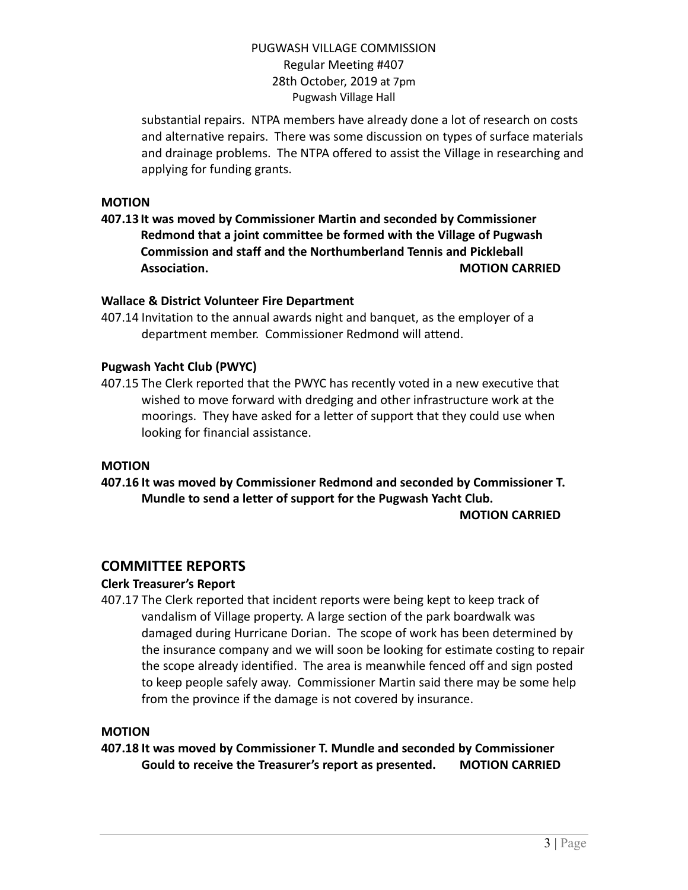substantial repairs. NTPA members have already done a lot of research on costs and alternative repairs. There was some discussion on types of surface materials and drainage problems. The NTPA offered to assist the Village in researching and applying for funding grants.

#### **MOTION**

**407.13 It was moved by Commissioner Martin and seconded by Commissioner Redmond that a joint committee be formed with the Village of Pugwash Commission and staff and the Northumberland Tennis and Pickleball Association. MOTION CARRIED**

#### **Wallace & District Volunteer Fire Department**

407.14 Invitation to the annual awards night and banquet, as the employer of a department member. Commissioner Redmond will attend.

#### **Pugwash Yacht Club (PWYC)**

407.15 The Clerk reported that the PWYC has recently voted in a new executive that wished to move forward with dredging and other infrastructure work at the moorings. They have asked for a letter of support that they could use when looking for financial assistance.

#### **MOTION**

**407.16 It was moved by Commissioner Redmond and seconded by Commissioner T. Mundle to send a letter of support for the Pugwash Yacht Club.**

**MOTION CARRIED**

## **COMMITTEE REPORTS**

#### **Clerk Treasurer's Report**

407.17 The Clerk reported that incident reports were being kept to keep track of vandalism of Village property. A large section of the park boardwalk was damaged during Hurricane Dorian. The scope of work has been determined by the insurance company and we will soon be looking for estimate costing to repair the scope already identified. The area is meanwhile fenced off and sign posted to keep people safely away. Commissioner Martin said there may be some help from the province if the damage is not covered by insurance.

#### **MOTION**

**407.18 It was moved by Commissioner T. Mundle and seconded by Commissioner Gould to receive the Treasurer's report as presented. MOTION CARRIED**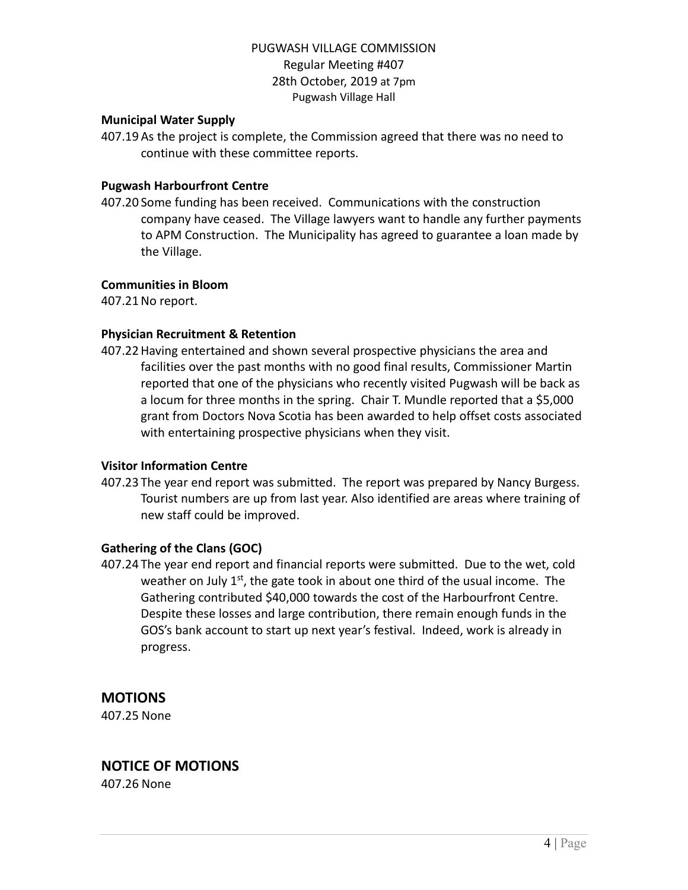#### **Municipal Water Supply**

407.19 As the project is complete, the Commission agreed that there was no need to continue with these committee reports.

#### **Pugwash Harbourfront Centre**

407.20 Some funding has been received. Communications with the construction company have ceased. The Village lawyers want to handle any further payments to APM Construction. The Municipality has agreed to guarantee a loan made by the Village.

#### **Communities in Bloom**

407.21No report.

#### **Physician Recruitment & Retention**

407.22Having entertained and shown several prospective physicians the area and facilities over the past months with no good final results, Commissioner Martin reported that one of the physicians who recently visited Pugwash will be back as a locum for three months in the spring. Chair T. Mundle reported that a \$5,000 grant from Doctors Nova Scotia has been awarded to help offset costs associated with entertaining prospective physicians when they visit.

#### **Visitor Information Centre**

407.23 The year end report was submitted. The report was prepared by Nancy Burgess. Tourist numbers are up from last year. Also identified are areas where training of new staff could be improved.

#### **Gathering of the Clans (GOC)**

407.24 The year end report and financial reports were submitted. Due to the wet, cold weather on July 1<sup>st</sup>, the gate took in about one third of the usual income. The Gathering contributed \$40,000 towards the cost of the Harbourfront Centre. Despite these losses and large contribution, there remain enough funds in the GOS's bank account to start up next year's festival. Indeed, work is already in progress.

## **MOTIONS**

407.25 None

## **NOTICE OF MOTIONS**

407.26 None